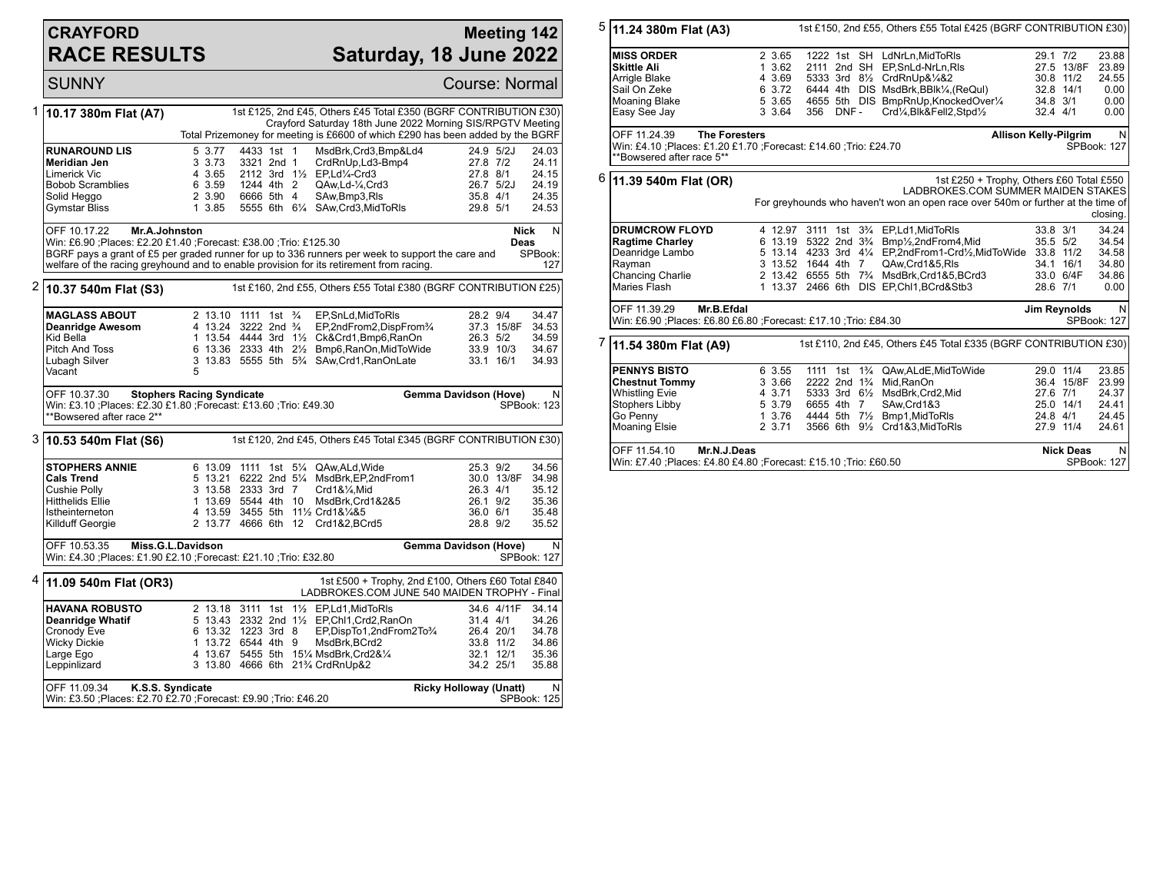## **CRAYFORD RACE RESULTS**

## **Meeting 142 Saturday, 18 June 2022**

SUNNY Course: Normal 1 **10.17 380m Flat (A7)** 1st £125, 2nd £45, Others £45 Total £350 (BGRF CONTRIBUTION £30) Crayford Saturday 18th June 2022 Morning SIS/RPGTV Meeting Total Prizemoney for meeting is £6600 of which £290 has been added by the BGRF **RUNAROUND LIS** 5 3.77 4433 1st 1 MsdBrk,Crd3,Bmp&Ld4 24.9 5/2J 24.03<br> **Meridian Jen** 3 3.73 3321 2nd 1 CrdRnUp,Ld3-Bmp4 27.8 7/2 24.11 **Meridian Jen** 3 3.73 3321 2nd 1 CrdRnUp,Ld3-Bmp4 27.8 7/2 24.11 Limerick Vic 4 3.65 2112 3rd 1½ EP,Ld¼-Crd3 27.8 8/1 24.15 Bobob Scramblies 6 3.59 1244 4th 2 QAw,Ld-¼,Crd3 26.7 5/2J 24.19 Solid Heggo 2 3.90 6666 5th 4 SAw,Bmp3,Rls 35.8 4/1 24.35 5555 6th 61/4 SAw,Crd3,MidToRls OFF 10.17.22 **Mr.A.Johnston** Win: £6.90 ;Places: £2.20 £1.40 ;Forecast: £38.00 ;Trio: £125.30 BGRF pays a grant of £5 per graded runner for up to 336 runners per week to support the care and welfare of the racing greyhound and to enable provision for its retirement from racing. **Nick Deas** N SPBook: 127 2 **10.37 540m Flat (S3)** 1st £160, 2nd £55, Others £55 Total £380 (BGRF CONTRIBUTION £25) **MAGLASS ABOUT** 2 13.10 1111 1st  $\frac{3}{4}$  EP, SnLd, MidToRIs 28.2 9/4 34.47<br> **Deanridge Awesom** 4 13.24 3222 2nd  $\frac{3}{4}$  EP. 2nd From 2. Disp From  $\frac{3}{4}$  37.3 15/8F 34.53 **Deanridge Awesom** 4 13.24 3222 2nd ¾ EP,2ndFrom2,DispFrom<sup>3</sup>/<sub>4</sub> 37.3 15/8F 34.53<br>Kid Bella **11.2.54 4444 3rd 1½ Ck&Crd1,Bmp6,RanOn** 26.3 5/2 34.59 Kid Bella 1 13.54 4444 3rd 1½ Ck&Crd1,Bmp6,RanOn 26.3 5/2 34.59 Pitch And Toss 6 13.36 2333 4th 2½ Bmp6,RanOn,MidToWide 33.9 10/3 34.67 3 13.83 5555 5th 5<sup>3</sup>/<sub>4</sub> SAw,Crd1,RanOnLate 5 Vacant OFF 10.37.30 **Stophers Racing Syndicate** Win: £3.10 ;Places: £2.30 £1.80 ;Forecast: £13.60 ;Trio: £49.30 \*\*Bowsered after race 2\*\* **Gemma Davidson (Hove)** N SPBook: 123 3 **10.53 540m Flat (S6)** 1st £120, 2nd £45, Others £45 Total £345 (BGRF CONTRIBUTION £30) **STOPHERS ANNIE** 6 13.09 1111 1st 5<sup>1</sup>/<sub>4</sub> QAw,ALd,Wide 25.3 9/2 34.56<br> **Cals Trend 30.0 13/8F 34.98** 5 13.21 6222 2nd 5<sup>1</sup>/<sub>4</sub> MsdBrk.EP.2ndFrom1 30.0 13/8F 34.98 **Cals Trend** 5 13.21 6222 2nd 5<sup>1</sup>/<sub>4</sub> MsdBrk,EP,2ndFrom1 30.0 13/8F 34.98<br>Cushie Polly 35.12 35.12 35.12 35.12 Cushie Polly 3 13.58 2333 3rd 7 Crd1&¼,Mid 26.3 4/1 35.12 Hitthelids Ellie 1 13.69 5544 4th 10 MsdBrk,Crd1&2&5 26.1 9/2 35.36 Istheinterneton 4 13.59 3455 5th 11½ Crd1&¼&5 36.0 6/1 35.48<br>Killduff Georgie 2 13.77 4666 6th 12 Crd1&2.BCrd5 28.8 9/2 35.52 2 13.77 4666 6th 12 Crd1&2,BCrd5 OFF 10.53.35 **Miss.G.L.Davidson** Win: £4.30 ;Places: £1.90 £2.10 ;Forecast: £21.10 ;Trio: £32.80 **Gemma Davidson (Hove)** N SPBook: 127 4 **11.09 540m Flat (OR3)** 1st £500 + Trophy, 2nd £100, Others £60 Total £840 LADBROKES.COM JUNE 540 MAIDEN TROPHY - Final **HAVANA ROBUSTO** 2 13.18 3111 1st 1½ EP,Ld1,MidToRls 34.6 4/11F 34.14<br> **Deanridge Whatif** 5 13.43 2332 2nd 1½ EP,Chl1,Crd2,RanOn 31.4 4/1 34.26 **Deanridge Whatif** 5 13.43 2332 2nd 1½ EP,Chl1,Crd2,RanOn 31.4 4/1 34.26<br>Cronody Eve 6 13.32 1223 3rd 8 EP,DispTo1,2ndFrom2To¾ 26.4 20/1 34.78 Cronody Eve 6 13.32 1223 3rd 8 EP,DispTo1,2ndFrom2To¾ 26.4 20/1 34.78 Wicky Dickie 1 13.72 6544 4th 9 MsdBrk,BCrd2 33.8 11/2 34.86 Large Ego 4 13.67 5455 5th 15¼ MsdBrk,Crd2&¼ 32.1 12/1 35.36 3 13.80 4666 6th 21% CrdRnUp&2 OFF 11.09.34 **K.S.S. Syndicate** Win: £3.50 ;Places: £2.70 £2.70 ;Forecast: £9.90 ;Trio: £46.20 **Ricky Holloway (Unatt)** N SPBook: 125 5 **11.24 380m Flat (A3)** 1st £150, 2nd £55, Others £55 Total £425 (BGRF CONTRIBUTION £30) **MISS ORDER** 2 3.65 1222 1st SH LdNrLn,MidToRls 29.1 7/2 23.88 **Skittle Ali** 1 3.62 2111 2nd SH EP,SnLd-NrLn,Rls 27.5 13/8F 23.89 Arrigle Blake 4 3.69 5333 3rd 8½ CrdRnUp&¼&2 30.8 11/2 24.55 Sail On Zeke 6 3.72 6444 4th DIS MsdBrk,BBlk¼,(ReQul) 32.8 14/1 0.00 Moaning Blake 5 3.65 4655 5th DIS BmpRnUp,KnockedOver¼ 34.8 3/1 0.00  $Crd/4$ ,Blk&Fell2,Stpd $\frac{1}{2}$ OFF 11.24.39 **The Foresters** Win: £4.10 ;Places: £1.20 £1.70 ;Forecast: £14.60 ;Trio: £24.70 \*\*Bowsered after race 5\*\* **Allison Kelly-Pilgrim** N SPBook: 127 6 **11.39 540m Flat (OR)** 1st £250 + Trophy, Others £60 Total £550 LADBROKES.COM SUMMER MAIDEN STAKES For greyhounds who haven't won an open race over 540m or further at the time of closing. **DRUMCROW FLOYD** 4 12.97 3111 1st 3<sup>3</sup>/<sub>4</sub> EP,Ld1,MidToRls 33.8 3/1 34.24<br>
Ragtime Charley 6 13.19 5322 2nd 3<sup>3</sup>/<sub>4</sub> Bmp<sup>1</sup>/<sub>2</sub>,2ndFrom4,Mid 35.5 5/2 34.54 **Ragtime Charley** 6 13.19 5322 2nd 3¾ Bmp½,2ndFrom4,Mid 35.5 5/2 34.54 Deanridge Lambo 5 13.14 4233 3rd 4¼ EP,2ndFrom1-Crd½,MidToWide 33.8 11/2 34.58 Rayman 3 13.52 1644 4th 7 QAw,Crd1&5,Rls 34.1 16/1 34.80<br>Chancing Charlie 2 13.42 6555 5th 7<sup>3</sup>/4 MsdBrk,Crd1&5,BCrd3 33.0 6/4F 34.86 Chancing Charlie 2 13.42 6555 5th 7¾ MsdBrk,Crd1&5,BCrd3 33.0 6/4F 34.86 1 13.37 2466 6th DIS EP,Chl1,BCrd&Stb3 OFF 11.39.29 **Mr.B.Efdal** Win: £6.90 ;Places: £6.80 £6.80 ;Forecast: £17.10 ;Trio: £84.30 **Jim Reynolds** N SPBook: 127 7 **11.54 380m Flat (A9)** 1st £110, 2nd £45, Others £45 Total £335 (BGRF CONTRIBUTION £30) **PENNYS BISTO** 6 3.55 1111 1st 1<sup>3</sup>/<sub>4</sub> QAw,ALdE,MidToWide 29.0 11/4 23.85<br> **Chestnut Tommy** 3 3.66 2222 2nd 1<sup>3</sup>/<sub>4</sub> Mid,RanOn 36.4 15/8F 23.99 **Chestnut Tommy** 3 3.66 2222 2nd 1<sup>3</sup>/<sub>4</sub> Mid,RanOn 36.4 15/8F 23.99<br>
Whistling Evie 3 3.71 5333 3rd 6<sup>1</sup>/<sub>2</sub> MsdBrk,Crd2,Mid 37.6 7/1 24.37 Whistling Evie 4 3.71 5333 3rd 6½ MsdBrk,Crd2,Mid 27.6 7/1 24.37 Stophers Libby 5 3.79 6655 4th 7 SAw,Crd1&3 25.0 14/1 24.41 Go Penny 1 3.76 4444 5th 7½ Bmp1,MidToRls 24.8 4/1 24.45<br>Moaning Elsie 2 3.71 3566 6th 9½ Crd1&3.MidToRls 27.9 11/4 24.61 3566 6th 9½ Crd1&3,MidToRls OFF 11.54.10 **Mr.N.J.Deas** Win: £7.40 ;Places: £4.80 £4.80 ;Forecast: £15.10 ;Trio: £60.50 **Nick Deas** N SPBook: 127